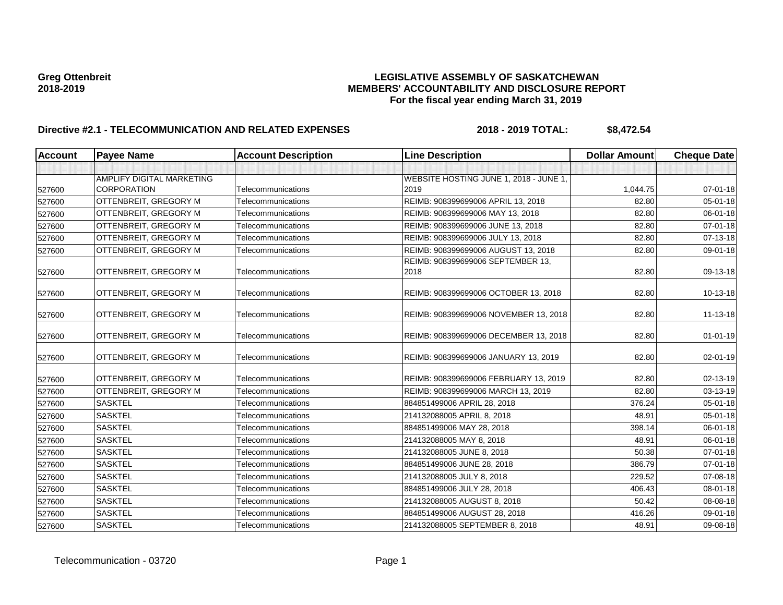| <b>Account</b> | <b>Payee Name</b>            | <b>Account Description</b> | <b>Line Description</b>                | <b>Dollar Amount</b> | <b>Cheque Date</b> |
|----------------|------------------------------|----------------------------|----------------------------------------|----------------------|--------------------|
|                |                              |                            |                                        |                      |                    |
|                | AMPLIFY DIGITAL MARKETING    |                            | WEBSITE HOSTING JUNE 1, 2018 - JUNE 1, |                      |                    |
| 527600         | <b>CORPORATION</b>           | Telecommunications         | 2019                                   | 1,044.75             | $07 - 01 - 18$     |
| 527600         | <b>OTTENBREIT, GREGORY M</b> | Telecommunications         | REIMB: 908399699006 APRIL 13, 2018     | 82.80                | 05-01-18           |
| 527600         | OTTENBREIT, GREGORY M        | Telecommunications         | REIMB: 908399699006 MAY 13, 2018       | 82.80                | 06-01-18           |
| 527600         | OTTENBREIT, GREGORY M        | Telecommunications         | REIMB: 908399699006 JUNE 13, 2018      | 82.80                | $07 - 01 - 18$     |
| 527600         | <b>OTTENBREIT, GREGORY M</b> | Telecommunications         | REIMB: 908399699006 JULY 13, 2018      | 82.80                | 07-13-18           |
| 527600         | OTTENBREIT, GREGORY M        | Telecommunications         | REIMB: 908399699006 AUGUST 13, 2018    | 82.80                | 09-01-18           |
|                |                              |                            | REIMB: 908399699006 SEPTEMBER 13,      |                      |                    |
| 527600         | OTTENBREIT, GREGORY M        | Telecommunications         | 2018                                   | 82.80                | 09-13-18           |
|                |                              | Telecommunications         | REIMB: 908399699006 OCTOBER 13, 2018   | 82.80                | 10-13-18           |
| 527600         | OTTENBREIT, GREGORY M        |                            |                                        |                      |                    |
| 527600         | OTTENBREIT, GREGORY M        | Telecommunications         | REIMB: 908399699006 NOVEMBER 13, 2018  | 82.80                | 11-13-18           |
| 527600         | OTTENBREIT, GREGORY M        | Telecommunications         | REIMB: 908399699006 DECEMBER 13, 2018  | 82.80                | $01 - 01 - 19$     |
|                |                              |                            |                                        |                      |                    |
| 527600         | OTTENBREIT, GREGORY M        | Telecommunications         | REIMB: 908399699006 JANUARY 13, 2019   | 82.80                | 02-01-19           |
| 527600         | OTTENBREIT, GREGORY M        | Telecommunications         | REIMB: 908399699006 FEBRUARY 13, 2019  | 82.80                | 02-13-19           |
| 527600         | OTTENBREIT, GREGORY M        | Telecommunications         | REIMB: 908399699006 MARCH 13, 2019     | 82.80                | 03-13-19           |
| 527600         | <b>SASKTEL</b>               | Telecommunications         | 884851499006 APRIL 28, 2018            | 376.24               | 05-01-18           |
| 527600         | <b>SASKTEL</b>               | Telecommunications         | 214132088005 APRIL 8, 2018             | 48.91                | 05-01-18           |
| 527600         | <b>SASKTEL</b>               | Telecommunications         | 884851499006 MAY 28, 2018              | 398.14               | 06-01-18           |
| 527600         | <b>SASKTEL</b>               | Telecommunications         | 214132088005 MAY 8, 2018               | 48.91                | 06-01-18           |
| 527600         | <b>SASKTEL</b>               | Telecommunications         | 214132088005 JUNE 8, 2018              | 50.38                | $07 - 01 - 18$     |
| 527600         | <b>SASKTEL</b>               | Telecommunications         | 884851499006 JUNE 28, 2018             | 386.79               | 07-01-18           |
| 527600         | <b>SASKTEL</b>               | Telecommunications         | 214132088005 JULY 8, 2018              | 229.52               | 07-08-18           |
| 527600         | <b>SASKTEL</b>               | Telecommunications         | 884851499006 JULY 28, 2018             | 406.43               | 08-01-18           |
| 527600         | <b>SASKTEL</b>               | Telecommunications         | 214132088005 AUGUST 8, 2018            | 50.42                | 08-08-18           |
| 527600         | <b>SASKTEL</b>               | Telecommunications         | 884851499006 AUGUST 28, 2018           | 416.26               | 09-01-18           |
| 527600         | <b>SASKTEL</b>               | Telecommunications         | 214132088005 SEPTEMBER 8, 2018         | 48.91                | 09-08-18           |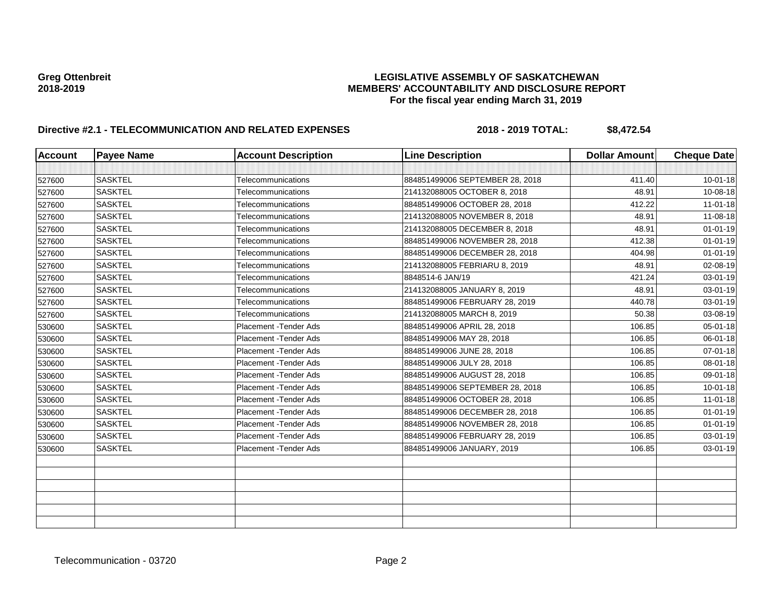| <b>Account Description</b> | <b>Line Description</b>         | <b>Dollar Amount</b> | <b>Cheque Date</b> |
|----------------------------|---------------------------------|----------------------|--------------------|
|                            |                                 |                      |                    |
| Telecommunications         | 884851499006 SEPTEMBER 28, 2018 | 411.40               | $10 - 01 - 18$     |
| Telecommunications         | 214132088005 OCTOBER 8, 2018    | 48.91                | 10-08-18           |
| Telecommunications         | 884851499006 OCTOBER 28, 2018   | 412.22               | $11 - 01 - 18$     |
| Telecommunications         | 214132088005 NOVEMBER 8, 2018   | 48.91                | 11-08-18           |
| Telecommunications         | 214132088005 DECEMBER 8, 2018   | 48.91                | $01 - 01 - 19$     |
| Telecommunications         | 884851499006 NOVEMBER 28, 2018  | 412.38               | $01 - 01 - 19$     |
| Telecommunications         | 884851499006 DECEMBER 28, 2018  | 404.98               | $01 - 01 - 19$     |
| Telecommunications         | 214132088005 FEBRIARU 8, 2019   | 48.91                | 02-08-19           |
| Telecommunications         | 8848514-6 JAN/19                | 421.24               | 03-01-19           |
| Telecommunications         | 214132088005 JANUARY 8, 2019    | 48.91                | 03-01-19           |
| Telecommunications         | 884851499006 FEBRUARY 28, 2019  | 440.78               | 03-01-19           |
| Telecommunications         | 214132088005 MARCH 8, 2019      | 50.38                | 03-08-19           |
| Placement - Tender Ads     | 884851499006 APRIL 28, 2018     | 106.85               | 05-01-18           |
| Placement - Tender Ads     | 884851499006 MAY 28, 2018       | 106.85               | 06-01-18           |
| Placement - Tender Ads     | 884851499006 JUNE 28, 2018      | 106.85               | 07-01-18           |
| Placement - Tender Ads     | 884851499006 JULY 28, 2018      | 106.85               | 08-01-18           |
| Placement - Tender Ads     | 884851499006 AUGUST 28, 2018    | 106.85               | 09-01-18           |
| Placement - Tender Ads     | 884851499006 SEPTEMBER 28, 2018 | 106.85               | $10 - 01 - 18$     |
| Placement - Tender Ads     | 884851499006 OCTOBER 28, 2018   | 106.85               | $11 - 01 - 18$     |
| Placement - Tender Ads     | 884851499006 DECEMBER 28, 2018  | 106.85               | $01 - 01 - 19$     |
| Placement - Tender Ads     | 884851499006 NOVEMBER 28, 2018  | 106.85               | $01 - 01 - 19$     |
| Placement - Tender Ads     | 884851499006 FEBRUARY 28, 2019  | 106.85               | 03-01-19           |
| Placement - Tender Ads     | 884851499006 JANUARY, 2019      | 106.85               | 03-01-19           |
|                            |                                 |                      |                    |
|                            |                                 |                      |                    |
|                            |                                 |                      |                    |
|                            |                                 |                      |                    |
|                            |                                 |                      |                    |
|                            |                                 |                      |                    |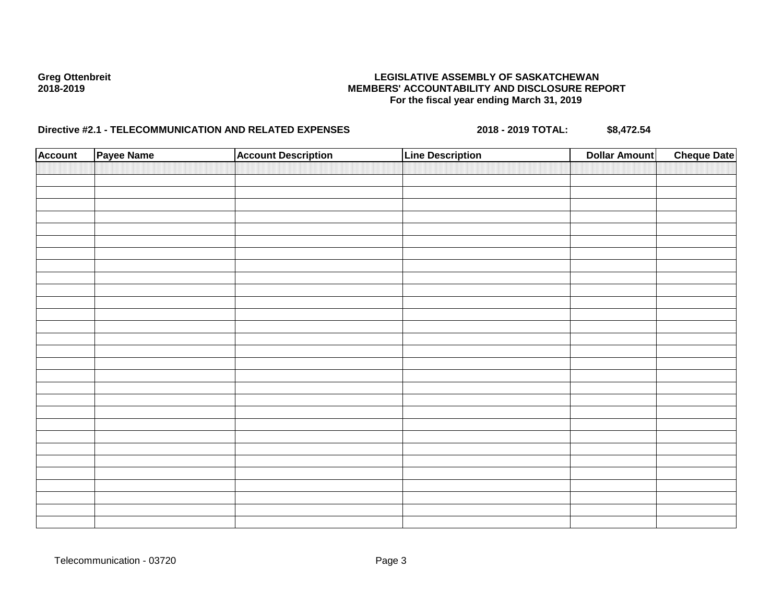| <b>Account</b> | Payee Name | <b>Account Description</b> | <b>Line Description</b> | <b>Dollar Amount</b> | <b>Cheque Date</b> |
|----------------|------------|----------------------------|-------------------------|----------------------|--------------------|
|                |            |                            |                         |                      |                    |
|                |            |                            |                         |                      |                    |
|                |            |                            |                         |                      |                    |
|                |            |                            |                         |                      |                    |
|                |            |                            |                         |                      |                    |
|                |            |                            |                         |                      |                    |
|                |            |                            |                         |                      |                    |
|                |            |                            |                         |                      |                    |
|                |            |                            |                         |                      |                    |
|                |            |                            |                         |                      |                    |
|                |            |                            |                         |                      |                    |
|                |            |                            |                         |                      |                    |
|                |            |                            |                         |                      |                    |
|                |            |                            |                         |                      |                    |
|                |            |                            |                         |                      |                    |
|                |            |                            |                         |                      |                    |
|                |            |                            |                         |                      |                    |
|                |            |                            |                         |                      |                    |
|                |            |                            |                         |                      |                    |
|                |            |                            |                         |                      |                    |
|                |            |                            |                         |                      |                    |
|                |            |                            |                         |                      |                    |
|                |            |                            |                         |                      |                    |
|                |            |                            |                         |                      |                    |
|                |            |                            |                         |                      |                    |
|                |            |                            |                         |                      |                    |
|                |            |                            |                         |                      |                    |
|                |            |                            |                         |                      |                    |
|                |            |                            |                         |                      |                    |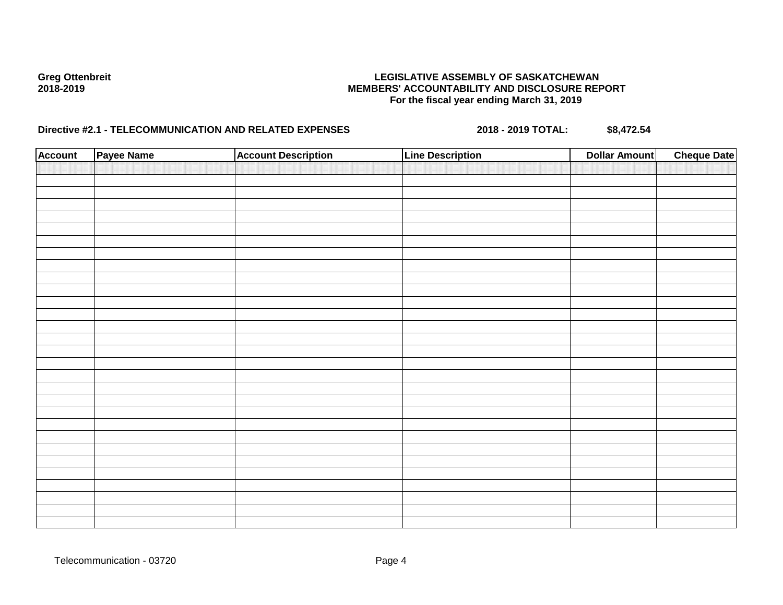| <b>Account</b> | Payee Name | <b>Account Description</b> | <b>Line Description</b> | <b>Dollar Amount</b> | <b>Cheque Date</b> |
|----------------|------------|----------------------------|-------------------------|----------------------|--------------------|
|                |            |                            |                         |                      |                    |
|                |            |                            |                         |                      |                    |
|                |            |                            |                         |                      |                    |
|                |            |                            |                         |                      |                    |
|                |            |                            |                         |                      |                    |
|                |            |                            |                         |                      |                    |
|                |            |                            |                         |                      |                    |
|                |            |                            |                         |                      |                    |
|                |            |                            |                         |                      |                    |
|                |            |                            |                         |                      |                    |
|                |            |                            |                         |                      |                    |
|                |            |                            |                         |                      |                    |
|                |            |                            |                         |                      |                    |
|                |            |                            |                         |                      |                    |
|                |            |                            |                         |                      |                    |
|                |            |                            |                         |                      |                    |
|                |            |                            |                         |                      |                    |
|                |            |                            |                         |                      |                    |
|                |            |                            |                         |                      |                    |
|                |            |                            |                         |                      |                    |
|                |            |                            |                         |                      |                    |
|                |            |                            |                         |                      |                    |
|                |            |                            |                         |                      |                    |
|                |            |                            |                         |                      |                    |
|                |            |                            |                         |                      |                    |
|                |            |                            |                         |                      |                    |
|                |            |                            |                         |                      |                    |
|                |            |                            |                         |                      |                    |
|                |            |                            |                         |                      |                    |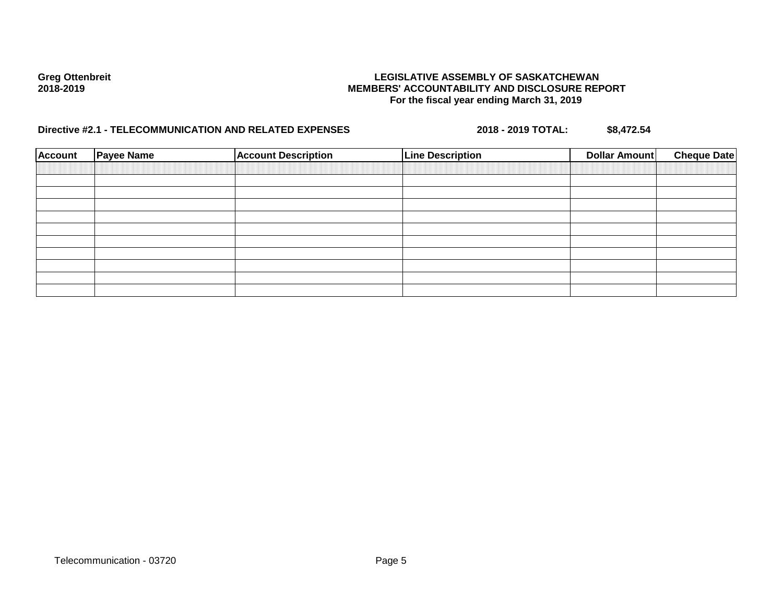| <b>Payee Name</b> | <b>Account Description</b> | <b>Line Description</b> | Dollar Amount | <b>Cheque Date</b> |
|-------------------|----------------------------|-------------------------|---------------|--------------------|
|                   |                            |                         |               |                    |
|                   |                            |                         |               |                    |
|                   |                            |                         |               |                    |
|                   |                            |                         |               |                    |
|                   |                            |                         |               |                    |
|                   |                            |                         |               |                    |
|                   |                            |                         |               |                    |
|                   |                            |                         |               |                    |
|                   |                            |                         |               |                    |
|                   |                            |                         |               |                    |
|                   |                            |                         |               |                    |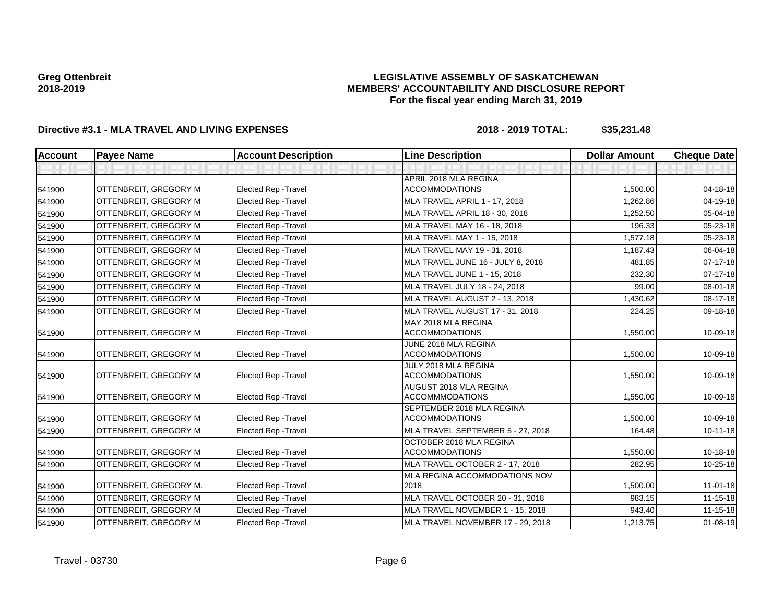## **LEGISLATIVE ASSEMBLY OF SASKATCHEWAN MEMBERS' ACCOUNTABILITY AND DISCLOSURE REPORT For the fiscal year ending March 31, 2019**

| Account | <b>Payee Name</b>            | <b>Account Description</b>  | <b>Line Description</b>                            | <b>Dollar Amount</b> | <b>Cheque Date</b> |
|---------|------------------------------|-----------------------------|----------------------------------------------------|----------------------|--------------------|
|         |                              |                             |                                                    |                      |                    |
| 541900  | OTTENBREIT, GREGORY M        | Elected Rep - Travel        | APRIL 2018 MLA REGINA<br><b>ACCOMMODATIONS</b>     | 1,500.00             | 04-18-18           |
| 541900  | OTTENBREIT, GREGORY M        | Elected Rep - Travel        | <b>MLA TRAVEL APRIL 1 - 17, 2018</b>               | 1.262.86             | $04 - 19 - 18$     |
| 541900  | OTTENBREIT, GREGORY M        | Elected Rep - Travel        | MLA TRAVEL APRIL 18 - 30, 2018                     | 1.252.50             | 05-04-18           |
| 541900  | <b>OTTENBREIT, GREGORY M</b> | <b>Elected Rep - Travel</b> | MLA TRAVEL MAY 16 - 18, 2018                       | 196.33               | $05 - 23 - 18$     |
| 541900  | OTTENBREIT, GREGORY M        | Elected Rep - Travel        | MLA TRAVEL MAY 1 - 15, 2018                        | 1,577.18             | 05-23-18           |
| 541900  | <b>OTTENBREIT, GREGORY M</b> | <b>Elected Rep - Travel</b> | MLA TRAVEL MAY 19 - 31, 2018                       | 1.187.43             | 06-04-18           |
| 541900  | OTTENBREIT, GREGORY M        | <b>Elected Rep - Travel</b> | MLA TRAVEL JUNE 16 - JULY 8, 2018                  | 481.85               | $07 - 17 - 18$     |
| 541900  | OTTENBREIT, GREGORY M        | Elected Rep - Travel        | MLA TRAVEL JUNE 1 - 15, 2018                       | 232.30               | $07 - 17 - 18$     |
| 541900  | OTTENBREIT, GREGORY M        | <b>Elected Rep - Travel</b> | MLA TRAVEL JULY 18 - 24, 2018                      | 99.00                | 08-01-18           |
| 541900  | OTTENBREIT, GREGORY M        | <b>Elected Rep - Travel</b> | MLA TRAVEL AUGUST 2 - 13, 2018                     | 1,430.62             | $08 - 17 - 18$     |
| 541900  | OTTENBREIT, GREGORY M        | Elected Rep - Travel        | MLA TRAVEL AUGUST 17 - 31, 2018                    | 224.25               | 09-18-18           |
| 541900  | OTTENBREIT, GREGORY M        | Elected Rep - Travel        | MAY 2018 MLA REGINA<br><b>ACCOMMODATIONS</b>       | 1,550.00             | 10-09-18           |
| 541900  | OTTENBREIT, GREGORY M        | <b>Elected Rep - Travel</b> | JUNE 2018 MLA REGINA<br><b>ACCOMMODATIONS</b>      | 1,500.00             | 10-09-18           |
| 541900  | OTTENBREIT, GREGORY M        | Elected Rep - Travel        | JULY 2018 MLA REGINA<br><b>ACCOMMODATIONS</b>      | 1,550.00             | 10-09-18           |
| 541900  | OTTENBREIT, GREGORY M        | Elected Rep - Travel        | AUGUST 2018 MLA REGINA<br><b>ACCOMMMODATIONS</b>   | 1,550.00             | 10-09-18           |
| 541900  | OTTENBREIT, GREGORY M        | Elected Rep - Travel        | SEPTEMBER 2018 MLA REGINA<br><b>ACCOMMODATIONS</b> | 1,500.00             | 10-09-18           |
| 541900  | OTTENBREIT, GREGORY M        | <b>Elected Rep - Travel</b> | MLA TRAVEL SEPTEMBER 5 - 27, 2018                  | 164.48               | $10 - 11 - 18$     |
| 541900  | OTTENBREIT, GREGORY M        | <b>Elected Rep - Travel</b> | OCTOBER 2018 MLA REGINA<br><b>ACCOMMODATIONS</b>   | 1,550.00             | $10 - 18 - 18$     |
| 541900  | OTTENBREIT, GREGORY M        | Elected Rep - Travel        | MLA TRAVEL OCTOBER 2 - 17, 2018                    | 282.95               | 10-25-18           |
| 541900  | OTTENBREIT, GREGORY M.       | Elected Rep - Travel        | MLA REGINA ACCOMMODATIONS NOV<br>2018              | 1,500.00             | $11 - 01 - 18$     |
| 541900  | <b>OTTENBREIT, GREGORY M</b> | <b>Elected Rep - Travel</b> | MLA TRAVEL OCTOBER 20 - 31, 2018                   | 983.15               | $11 - 15 - 18$     |
| 541900  | OTTENBREIT, GREGORY M        | <b>Elected Rep - Travel</b> | MLA TRAVEL NOVEMBER 1 - 15, 2018                   | 943.40               | $11 - 15 - 18$     |
| 541900  | OTTENBREIT, GREGORY M        | <b>Elected Rep - Travel</b> | MLA TRAVEL NOVEMBER 17 - 29, 2018                  | 1,213.75             | $01 - 08 - 19$     |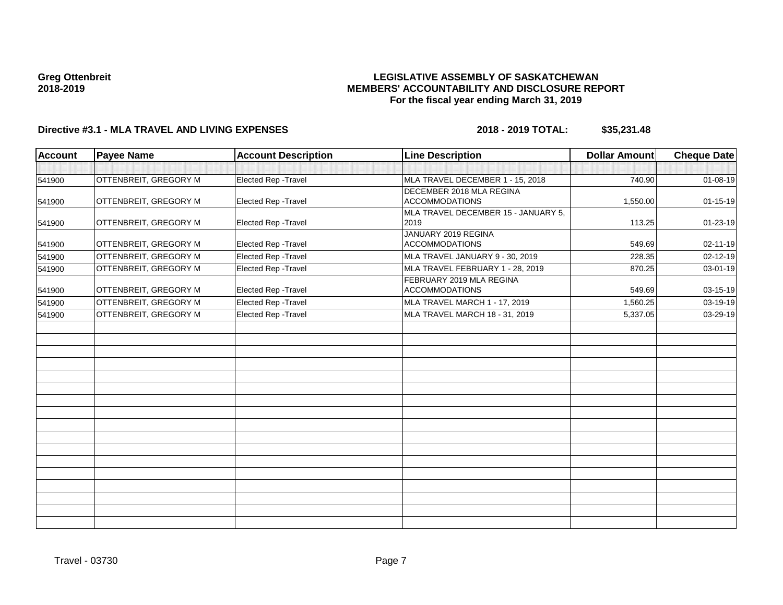## **LEGISLATIVE ASSEMBLY OF SASKATCHEWAN MEMBERS' ACCOUNTABILITY AND DISCLOSURE REPORT For the fiscal year ending March 31, 2019**

| <b>Account</b> | <b>Payee Name</b>            | <b>Account Description</b> | <b>Line Description</b>                           | <b>Dollar Amount</b> | <b>Cheque Date</b> |
|----------------|------------------------------|----------------------------|---------------------------------------------------|----------------------|--------------------|
|                |                              |                            |                                                   |                      |                    |
| 541900         | <b>OTTENBREIT, GREGORY M</b> | Elected Rep - Travel       | MLA TRAVEL DECEMBER 1 - 15, 2018                  | 740.90               | $01 - 08 - 19$     |
|                |                              |                            | DECEMBER 2018 MLA REGINA                          |                      |                    |
| 541900         | <b>OTTENBREIT, GREGORY M</b> | Elected Rep - Travel       | <b>ACCOMMODATIONS</b>                             | 1,550.00             | $01 - 15 - 19$     |
| 541900         | OTTENBREIT, GREGORY M        | Elected Rep - Travel       | MLA TRAVEL DECEMBER 15 - JANUARY 5,<br>2019       | 113.25               | 01-23-19           |
|                |                              |                            | JANUARY 2019 REGINA                               |                      |                    |
| 541900         | <b>OTTENBREIT, GREGORY M</b> | Elected Rep - Travel       | <b>ACCOMMODATIONS</b>                             | 549.69               | $02 - 11 - 19$     |
| 541900         | OTTENBREIT, GREGORY M        | Elected Rep - Travel       | MLA TRAVEL JANUARY 9 - 30, 2019                   | 228.35               | 02-12-19           |
| 541900         | OTTENBREIT, GREGORY M        | Elected Rep - Travel       | MLA TRAVEL FEBRUARY 1 - 28, 2019                  | 870.25               | 03-01-19           |
| 541900         | OTTENBREIT, GREGORY M        | Elected Rep - Travel       | FEBRUARY 2019 MLA REGINA<br><b>ACCOMMODATIONS</b> | 549.69               | 03-15-19           |
| 541900         | OTTENBREIT, GREGORY M        | Elected Rep - Travel       | MLA TRAVEL MARCH 1 - 17, 2019                     | 1,560.25             | 03-19-19           |
| 541900         | <b>OTTENBREIT, GREGORY M</b> | Elected Rep - Travel       | MLA TRAVEL MARCH 18 - 31, 2019                    | 5,337.05             | 03-29-19           |
|                |                              |                            |                                                   |                      |                    |
|                |                              |                            |                                                   |                      |                    |
|                |                              |                            |                                                   |                      |                    |
|                |                              |                            |                                                   |                      |                    |
|                |                              |                            |                                                   |                      |                    |
|                |                              |                            |                                                   |                      |                    |
|                |                              |                            |                                                   |                      |                    |
|                |                              |                            |                                                   |                      |                    |
|                |                              |                            |                                                   |                      |                    |
|                |                              |                            |                                                   |                      |                    |
|                |                              |                            |                                                   |                      |                    |
|                |                              |                            |                                                   |                      |                    |
|                |                              |                            |                                                   |                      |                    |
|                |                              |                            |                                                   |                      |                    |
|                |                              |                            |                                                   |                      |                    |
|                |                              |                            |                                                   |                      |                    |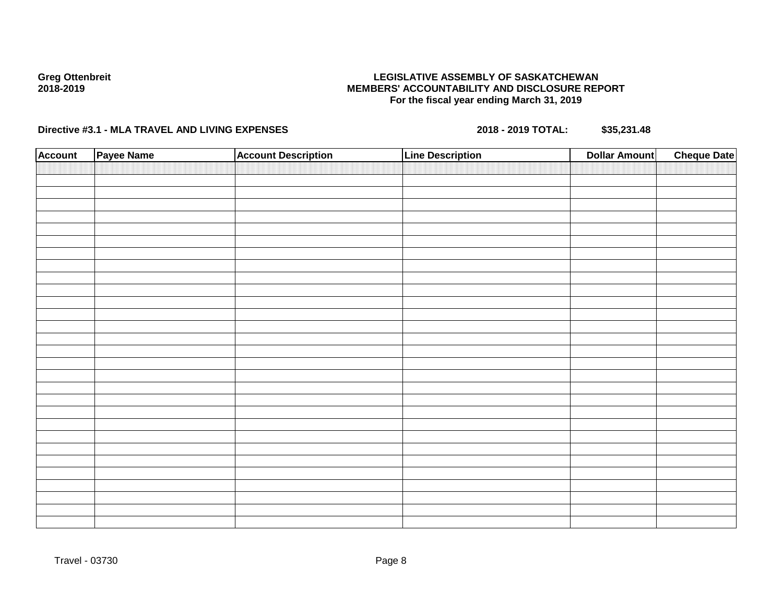## **LEGISLATIVE ASSEMBLY OF SASKATCHEWAN MEMBERS' ACCOUNTABILITY AND DISCLOSURE REPORT For the fiscal year ending March 31, 2019**

| <b>Account</b> | Payee Name | <b>Account Description</b> | <b>Line Description</b> | <b>Dollar Amount</b> | <b>Cheque Date</b> |
|----------------|------------|----------------------------|-------------------------|----------------------|--------------------|
|                |            |                            |                         |                      |                    |
|                |            |                            |                         |                      |                    |
|                |            |                            |                         |                      |                    |
|                |            |                            |                         |                      |                    |
|                |            |                            |                         |                      |                    |
|                |            |                            |                         |                      |                    |
|                |            |                            |                         |                      |                    |
|                |            |                            |                         |                      |                    |
|                |            |                            |                         |                      |                    |
|                |            |                            |                         |                      |                    |
|                |            |                            |                         |                      |                    |
|                |            |                            |                         |                      |                    |
|                |            |                            |                         |                      |                    |
|                |            |                            |                         |                      |                    |
|                |            |                            |                         |                      |                    |
|                |            |                            |                         |                      |                    |
|                |            |                            |                         |                      |                    |
|                |            |                            |                         |                      |                    |
|                |            |                            |                         |                      |                    |
|                |            |                            |                         |                      |                    |
|                |            |                            |                         |                      |                    |
|                |            |                            |                         |                      |                    |
|                |            |                            |                         |                      |                    |
|                |            |                            |                         |                      |                    |
|                |            |                            |                         |                      |                    |
|                |            |                            |                         |                      |                    |
|                |            |                            |                         |                      |                    |
|                |            |                            |                         |                      |                    |
|                |            |                            |                         |                      |                    |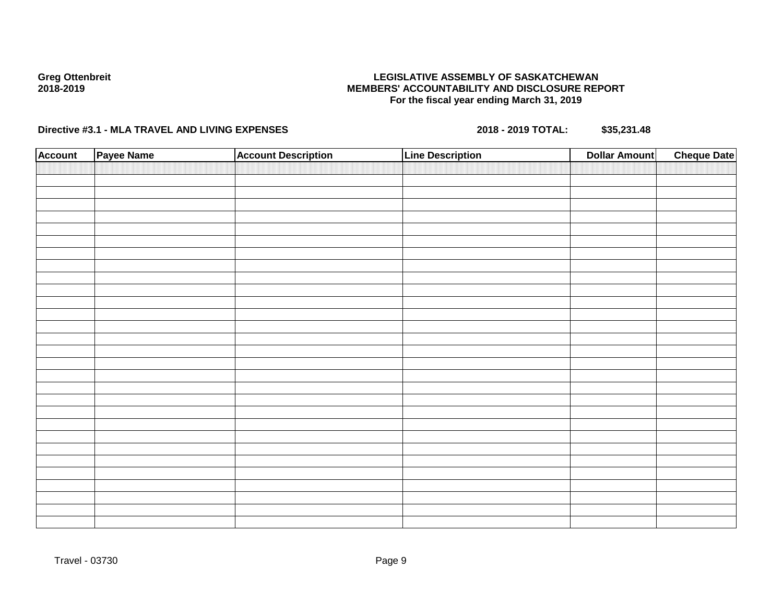## **LEGISLATIVE ASSEMBLY OF SASKATCHEWAN MEMBERS' ACCOUNTABILITY AND DISCLOSURE REPORT For the fiscal year ending March 31, 2019**

| <b>Account</b> | Payee Name | <b>Account Description</b> | <b>Line Description</b> | <b>Dollar Amount</b> | <b>Cheque Date</b> |
|----------------|------------|----------------------------|-------------------------|----------------------|--------------------|
|                |            |                            |                         |                      |                    |
|                |            |                            |                         |                      |                    |
|                |            |                            |                         |                      |                    |
|                |            |                            |                         |                      |                    |
|                |            |                            |                         |                      |                    |
|                |            |                            |                         |                      |                    |
|                |            |                            |                         |                      |                    |
|                |            |                            |                         |                      |                    |
|                |            |                            |                         |                      |                    |
|                |            |                            |                         |                      |                    |
|                |            |                            |                         |                      |                    |
|                |            |                            |                         |                      |                    |
|                |            |                            |                         |                      |                    |
|                |            |                            |                         |                      |                    |
|                |            |                            |                         |                      |                    |
|                |            |                            |                         |                      |                    |
|                |            |                            |                         |                      |                    |
|                |            |                            |                         |                      |                    |
|                |            |                            |                         |                      |                    |
|                |            |                            |                         |                      |                    |
|                |            |                            |                         |                      |                    |
|                |            |                            |                         |                      |                    |
|                |            |                            |                         |                      |                    |
|                |            |                            |                         |                      |                    |
|                |            |                            |                         |                      |                    |
|                |            |                            |                         |                      |                    |
|                |            |                            |                         |                      |                    |
|                |            |                            |                         |                      |                    |
|                |            |                            |                         |                      |                    |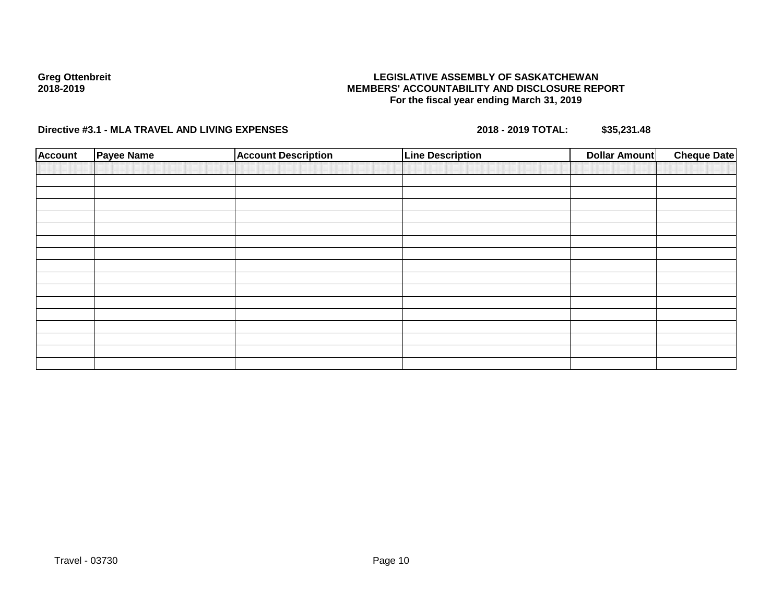## **LEGISLATIVE ASSEMBLY OF SASKATCHEWAN MEMBERS' ACCOUNTABILITY AND DISCLOSURE REPORT For the fiscal year ending March 31, 2019**

| <b>Account</b> | Payee Name | <b>Account Description</b> | <b>Line Description</b> | <b>Dollar Amount</b> | <b>Cheque Date</b> |
|----------------|------------|----------------------------|-------------------------|----------------------|--------------------|
|                |            |                            |                         |                      |                    |
|                |            |                            |                         |                      |                    |
|                |            |                            |                         |                      |                    |
|                |            |                            |                         |                      |                    |
|                |            |                            |                         |                      |                    |
|                |            |                            |                         |                      |                    |
|                |            |                            |                         |                      |                    |
|                |            |                            |                         |                      |                    |
|                |            |                            |                         |                      |                    |
|                |            |                            |                         |                      |                    |
|                |            |                            |                         |                      |                    |
|                |            |                            |                         |                      |                    |
|                |            |                            |                         |                      |                    |
|                |            |                            |                         |                      |                    |
|                |            |                            |                         |                      |                    |
|                |            |                            |                         |                      |                    |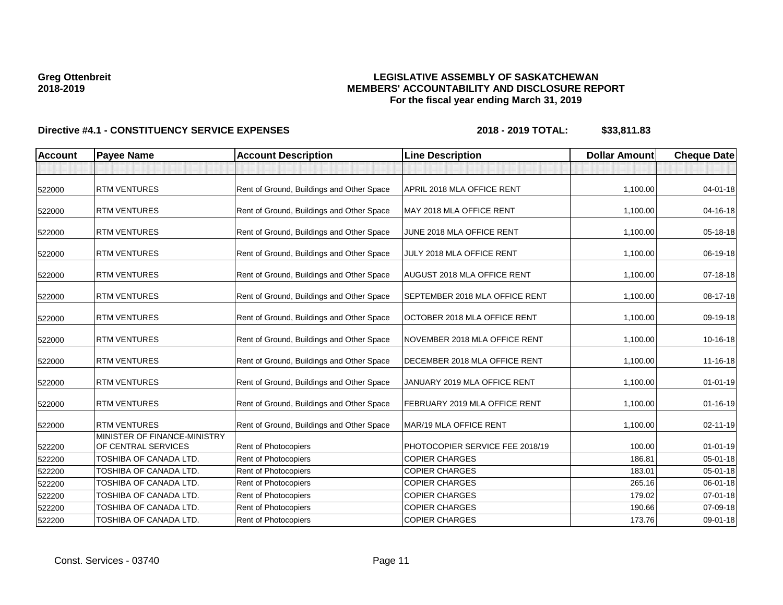## **LEGISLATIVE ASSEMBLY OF SASKATCHEWAN MEMBERS' ACCOUNTABILITY AND DISCLOSURE REPORT For the fiscal year ending March 31, 2019**

| <b>Account</b> | <b>Payee Name</b>                                   | <b>Account Description</b>                | <b>Line Description</b>               | <b>Dollar Amount</b> | <b>Cheque Date</b> |
|----------------|-----------------------------------------------------|-------------------------------------------|---------------------------------------|----------------------|--------------------|
|                |                                                     |                                           |                                       |                      |                    |
| 522000         | <b>RTM VENTURES</b>                                 | Rent of Ground, Buildings and Other Space | APRIL 2018 MLA OFFICE RENT            | 1,100.00             | 04-01-18           |
| 522000         | <b>RTM VENTURES</b>                                 | Rent of Ground, Buildings and Other Space | MAY 2018 MLA OFFICE RENT              | 1,100.00             | 04-16-18           |
| 522000         | <b>RTM VENTURES</b>                                 | Rent of Ground, Buildings and Other Space | JUNE 2018 MLA OFFICE RENT             | 1,100.00             | 05-18-18           |
| 522000         | <b>RTM VENTURES</b>                                 | Rent of Ground, Buildings and Other Space | JULY 2018 MLA OFFICE RENT             | 1,100.00             | 06-19-18           |
| 522000         | <b>RTM VENTURES</b>                                 | Rent of Ground, Buildings and Other Space | AUGUST 2018 MLA OFFICE RENT           | 1,100.00             | $07 - 18 - 18$     |
| 522000         | <b>RTM VENTURES</b>                                 | Rent of Ground, Buildings and Other Space | <b>SEPTEMBER 2018 MLA OFFICE RENT</b> | 1,100.00             | 08-17-18           |
| 522000         | <b>RTM VENTURES</b>                                 | Rent of Ground, Buildings and Other Space | OCTOBER 2018 MLA OFFICE RENT          | 1,100.00             | 09-19-18           |
| 522000         | <b>RTM VENTURES</b>                                 | Rent of Ground, Buildings and Other Space | NOVEMBER 2018 MLA OFFICE RENT         | 1,100.00             | 10-16-18           |
| 522000         | <b>RTM VENTURES</b>                                 | Rent of Ground, Buildings and Other Space | DECEMBER 2018 MLA OFFICE RENT         | 1,100.00             | 11-16-18           |
| 522000         | <b>RTM VENTURES</b>                                 | Rent of Ground, Buildings and Other Space | JANUARY 2019 MLA OFFICE RENT          | 1,100.00             | 01-01-19           |
| 522000         | <b>RTM VENTURES</b>                                 | Rent of Ground, Buildings and Other Space | FEBRUARY 2019 MLA OFFICE RENT         | 1,100.00             | $01 - 16 - 19$     |
| 522000         | <b>RTM VENTURES</b>                                 | Rent of Ground, Buildings and Other Space | MAR/19 MLA OFFICE RENT                | 1,100.00             | 02-11-19           |
| 522200         | MINISTER OF FINANCE-MINISTRY<br>OF CENTRAL SERVICES | Rent of Photocopiers                      | PHOTOCOPIER SERVICE FEE 2018/19       | 100.00               | $01 - 01 - 19$     |
| 522200         | TOSHIBA OF CANADA LTD.                              | Rent of Photocopiers                      | <b>COPIER CHARGES</b>                 | 186.81               | 05-01-18           |
| 522200         | TOSHIBA OF CANADA LTD.                              | <b>Rent of Photocopiers</b>               | <b>COPIER CHARGES</b>                 | 183.01               | $05 - 01 - 18$     |
| 522200         | TOSHIBA OF CANADA LTD.                              | Rent of Photocopiers                      | <b>COPIER CHARGES</b>                 | 265.16               | 06-01-18           |
| 522200         | TOSHIBA OF CANADA LTD.                              | Rent of Photocopiers                      | <b>COPIER CHARGES</b>                 | 179.02               | 07-01-18           |
| 522200         | TOSHIBA OF CANADA LTD.                              | Rent of Photocopiers                      | <b>COPIER CHARGES</b>                 | 190.66               | 07-09-18           |
| 522200         | TOSHIBA OF CANADA LTD.                              | Rent of Photocopiers                      | <b>COPIER CHARGES</b>                 | 173.76               | 09-01-18           |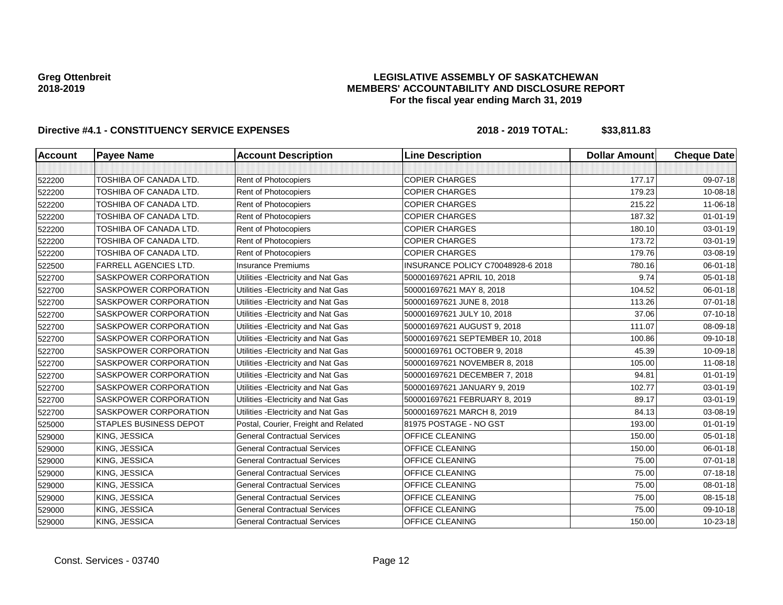### **LEGISLATIVE ASSEMBLY OF SASKATCHEWAN MEMBERS' ACCOUNTABILITY AND DISCLOSURE REPORT For the fiscal year ending March 31, 2019**

| <b>Account</b> | <b>Payee Name</b>             | <b>Account Description</b>           | <b>Line Description</b>                  | <b>Dollar Amount</b> | <b>Cheque Date</b> |
|----------------|-------------------------------|--------------------------------------|------------------------------------------|----------------------|--------------------|
|                |                               |                                      |                                          |                      |                    |
| 522200         | TOSHIBA OF CANADA LTD.        | Rent of Photocopiers                 | <b>COPIER CHARGES</b>                    | 177.17               | 09-07-18           |
| 522200         | TOSHIBA OF CANADA LTD.        | Rent of Photocopiers                 | <b>COPIER CHARGES</b>                    | 179.23               | 10-08-18           |
| 522200         | TOSHIBA OF CANADA LTD.        | Rent of Photocopiers                 | <b>COPIER CHARGES</b>                    | 215.22               | 11-06-18           |
| 522200         | TOSHIBA OF CANADA LTD.        | Rent of Photocopiers                 | <b>COPIER CHARGES</b>                    | 187.32               | $01 - 01 - 19$     |
| 522200         | TOSHIBA OF CANADA LTD.        | Rent of Photocopiers                 | <b>COPIER CHARGES</b>                    | 180.10               | 03-01-19           |
| 522200         | TOSHIBA OF CANADA LTD.        | Rent of Photocopiers                 | <b>COPIER CHARGES</b>                    | 173.72               | 03-01-19           |
| 522200         | TOSHIBA OF CANADA LTD.        | Rent of Photocopiers                 | <b>COPIER CHARGES</b>                    | 179.76               | 03-08-19           |
| 522500         | <b>FARRELL AGENCIES LTD.</b>  | <b>Insurance Premiums</b>            | <b>INSURANCE POLICY C70048928-6 2018</b> | 780.16               | 06-01-18           |
| 522700         | <b>SASKPOWER CORPORATION</b>  | Utilities - Electricity and Nat Gas  | 500001697621 APRIL 10, 2018              | 9.74                 | 05-01-18           |
| 522700         | SASKPOWER CORPORATION         | Utilities - Electricity and Nat Gas  | 500001697621 MAY 8, 2018                 | 104.52               | 06-01-18           |
| 522700         | SASKPOWER CORPORATION         | Utilities - Electricity and Nat Gas  | 500001697621 JUNE 8, 2018                | 113.26               | 07-01-18           |
| 522700         | <b>SASKPOWER CORPORATION</b>  | Utilities - Electricity and Nat Gas  | 500001697621 JULY 10, 2018               | 37.06                | $07 - 10 - 18$     |
| 522700         | SASKPOWER CORPORATION         | Utilities - Electricity and Nat Gas  | 500001697621 AUGUST 9, 2018              | 111.07               | 08-09-18           |
| 522700         | <b>SASKPOWER CORPORATION</b>  | Utilities - Electricity and Nat Gas  | 500001697621 SEPTEMBER 10, 2018          | 100.86               | 09-10-18           |
| 522700         | <b>SASKPOWER CORPORATION</b>  | Utilities - Electricity and Nat Gas  | 50000169761 OCTOBER 9, 2018              | 45.39                | 10-09-18           |
| 522700         | <b>SASKPOWER CORPORATION</b>  | Utilities - Electricity and Nat Gas  | 500001697621 NOVEMBER 8, 2018            | 105.00               | 11-08-18           |
| 522700         | SASKPOWER CORPORATION         | Utilities - Electricity and Nat Gas  | 500001697621 DECEMBER 7, 2018            | 94.81                | $01 - 01 - 19$     |
| 522700         | SASKPOWER CORPORATION         | Utilities - Electricity and Nat Gas  | 500001697621 JANUARY 9, 2019             | 102.77               | $03 - 01 - 19$     |
| 522700         | <b>SASKPOWER CORPORATION</b>  | Utilities - Electricity and Nat Gas  | 500001697621 FEBRUARY 8, 2019            | 89.17                | 03-01-19           |
| 522700         | <b>SASKPOWER CORPORATION</b>  | Utilities - Electricity and Nat Gas  | 500001697621 MARCH 8, 2019               | 84.13                | 03-08-19           |
| 525000         | <b>STAPLES BUSINESS DEPOT</b> | Postal, Courier, Freight and Related | 81975 POSTAGE - NO GST                   | 193.00               | $01 - 01 - 19$     |
| 529000         | KING, JESSICA                 | <b>General Contractual Services</b>  | OFFICE CLEANING                          | 150.00               | 05-01-18           |
| 529000         | KING, JESSICA                 | <b>General Contractual Services</b>  | OFFICE CLEANING                          | 150.00               | 06-01-18           |
| 529000         | KING, JESSICA                 | <b>General Contractual Services</b>  | OFFICE CLEANING                          | 75.00                | 07-01-18           |
| 529000         | KING, JESSICA                 | <b>General Contractual Services</b>  | OFFICE CLEANING                          | 75.00                | 07-18-18           |
| 529000         | KING, JESSICA                 | <b>General Contractual Services</b>  | OFFICE CLEANING                          | 75.00                | 08-01-18           |
| 529000         | KING, JESSICA                 | <b>General Contractual Services</b>  | <b>OFFICE CLEANING</b>                   | 75.00                | 08-15-18           |
| 529000         | KING, JESSICA                 | <b>General Contractual Services</b>  | OFFICE CLEANING                          | 75.00                | 09-10-18           |
| 529000         | KING, JESSICA                 | <b>General Contractual Services</b>  | OFFICE CLEANING                          | 150.00               | 10-23-18           |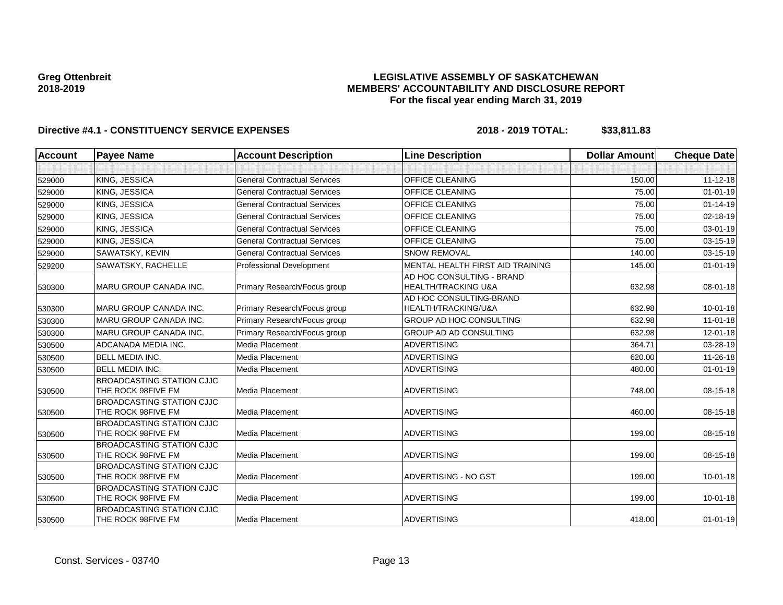## **LEGISLATIVE ASSEMBLY OF SASKATCHEWAN MEMBERS' ACCOUNTABILITY AND DISCLOSURE REPORT For the fiscal year ending March 31, 2019**

| <b>Account</b> | <b>Payee Name</b>                                      | <b>Account Description</b>          | <b>Line Description</b>                                     | <b>Dollar Amount</b> | <b>Cheque Date</b> |
|----------------|--------------------------------------------------------|-------------------------------------|-------------------------------------------------------------|----------------------|--------------------|
|                |                                                        |                                     |                                                             |                      |                    |
| 529000         | KING, JESSICA                                          | <b>General Contractual Services</b> | <b>OFFICE CLEANING</b>                                      | 150.00               | $11 - 12 - 18$     |
| 529000         | KING, JESSICA                                          | <b>General Contractual Services</b> | <b>OFFICE CLEANING</b>                                      | 75.00                | $01 - 01 - 19$     |
| 529000         | KING, JESSICA                                          | <b>General Contractual Services</b> | <b>OFFICE CLEANING</b>                                      | 75.00                | $01 - 14 - 19$     |
| 529000         | KING, JESSICA                                          | <b>General Contractual Services</b> | OFFICE CLEANING                                             | 75.00                | 02-18-19           |
| 529000         | KING, JESSICA                                          | <b>General Contractual Services</b> | OFFICE CLEANING                                             | 75.00                | 03-01-19           |
| 529000         | KING, JESSICA                                          | <b>General Contractual Services</b> | <b>OFFICE CLEANING</b>                                      | 75.00                | 03-15-19           |
| 529000         | SAWATSKY, KEVIN                                        | <b>General Contractual Services</b> | <b>SNOW REMOVAL</b>                                         | 140.00               | $03 - 15 - 19$     |
| 529200         | SAWATSKY, RACHELLE                                     | Professional Development            | MENTAL HEALTH FIRST AID TRAINING                            | 145.00               | $01 - 01 - 19$     |
| 530300         | MARU GROUP CANADA INC.                                 | Primary Research/Focus group        | AD HOC CONSULTING - BRAND<br><b>HEALTH/TRACKING U&amp;A</b> | 632.98               | 08-01-18           |
| 530300         | MARU GROUP CANADA INC.                                 | Primary Research/Focus group        | AD HOC CONSULTING-BRAND<br>HEALTH/TRACKING/U&A              | 632.98               | $10 - 01 - 18$     |
| 530300         | <b>MARU GROUP CANADA INC.</b>                          | Primary Research/Focus group        | <b>GROUP AD HOC CONSULTING</b>                              | 632.98               | $11 - 01 - 18$     |
| 530300         | MARU GROUP CANADA INC.                                 | Primary Research/Focus group        | <b>GROUP AD AD CONSULTING</b>                               | 632.98               | $12 - 01 - 18$     |
| 530500         | ADCANADA MEDIA INC.                                    | Media Placement                     | <b>ADVERTISING</b>                                          | 364.71               | 03-28-19           |
| 530500         | <b>BELL MEDIA INC.</b>                                 | Media Placement                     | <b>ADVERTISING</b>                                          | 620.00               | 11-26-18           |
| 530500         | <b>BELL MEDIA INC.</b>                                 | Media Placement                     | <b>ADVERTISING</b>                                          | 480.00               | $01 - 01 - 19$     |
| 530500         | <b>BROADCASTING STATION CJJC</b><br>THE ROCK 98FIVE FM | Media Placement                     | <b>ADVERTISING</b>                                          | 748.00               | 08-15-18           |
| 530500         | <b>BROADCASTING STATION CJJC</b><br>THE ROCK 98FIVE FM | Media Placement                     | <b>ADVERTISING</b>                                          | 460.00               | 08-15-18           |
| 530500         | <b>BROADCASTING STATION CJJC</b><br>THE ROCK 98FIVE FM | Media Placement                     | <b>ADVERTISING</b>                                          | 199.00               | 08-15-18           |
| 530500         | <b>BROADCASTING STATION CJJC</b><br>THE ROCK 98FIVE FM | Media Placement                     | <b>ADVERTISING</b>                                          | 199.00               | 08-15-18           |
| 530500         | <b>BROADCASTING STATION CJJC</b><br>THE ROCK 98FIVE FM | Media Placement                     | <b>ADVERTISING - NO GST</b>                                 | 199.00               | $10 - 01 - 18$     |
| 530500         | <b>BROADCASTING STATION CJJC</b><br>THE ROCK 98FIVE FM | Media Placement                     | <b>ADVERTISING</b>                                          | 199.00               | $10 - 01 - 18$     |
| 530500         | <b>BROADCASTING STATION CJJC</b><br>THE ROCK 98FIVE FM | Media Placement                     | <b>ADVERTISING</b>                                          | 418.00               | $01 - 01 - 19$     |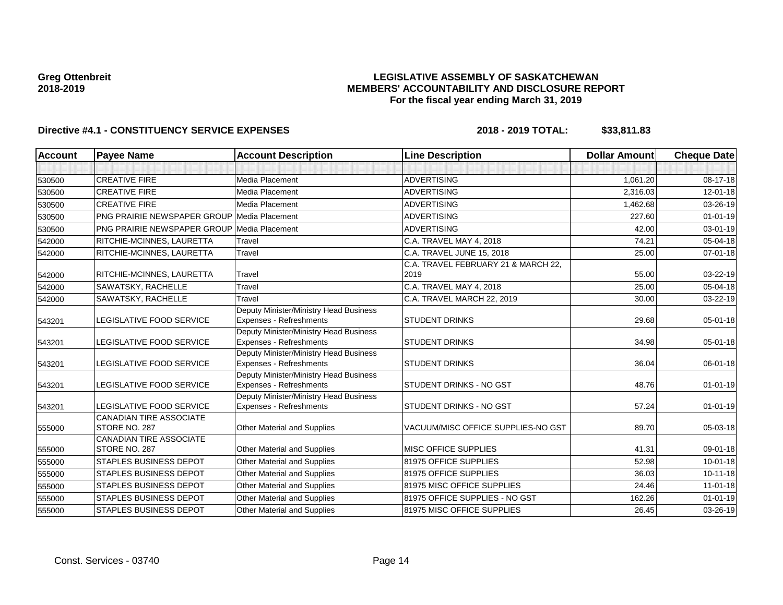## **LEGISLATIVE ASSEMBLY OF SASKATCHEWAN MEMBERS' ACCOUNTABILITY AND DISCLOSURE REPORT For the fiscal year ending March 31, 2019**

| Account | <b>Payee Name</b>                                  | <b>Account Description</b>                                        | <b>Line Description</b>             | <b>Dollar Amount</b> | <b>Cheque Date</b> |
|---------|----------------------------------------------------|-------------------------------------------------------------------|-------------------------------------|----------------------|--------------------|
|         |                                                    |                                                                   |                                     |                      |                    |
| 530500  | <b>CREATIVE FIRE</b>                               | Media Placement                                                   | <b>ADVERTISING</b>                  | 1.061.20             | 08-17-18           |
| 530500  | <b>CREATIVE FIRE</b>                               | Media Placement                                                   | <b>ADVERTISING</b>                  | 2.316.03             | $12 - 01 - 18$     |
| 530500  | <b>CREATIVE FIRE</b>                               | Media Placement                                                   | <b>ADVERTISING</b>                  | 1,462.68             | 03-26-19           |
| 530500  | <b>PNG PRAIRIE NEWSPAPER GROUP</b>                 | Media Placement                                                   | <b>ADVERTISING</b>                  | 227.60               | $01 - 01 - 19$     |
| 530500  | <b>PNG PRAIRIE NEWSPAPER GROUP Media Placement</b> |                                                                   | <b>ADVERTISING</b>                  | 42.00                | 03-01-19           |
| 542000  | RITCHIE-MCINNES, LAURETTA                          | Travel                                                            | C.A. TRAVEL MAY 4, 2018             | 74.21                | 05-04-18           |
| 542000  | RITCHIE-MCINNES, LAURETTA                          | Travel                                                            | C.A. TRAVEL JUNE 15, 2018           | 25.00                | 07-01-18           |
|         |                                                    |                                                                   | C.A. TRAVEL FEBRUARY 21 & MARCH 22, |                      |                    |
| 542000  | RITCHIE-MCINNES, LAURETTA                          | Travel                                                            | 2019                                | 55.00                | 03-22-19           |
| 542000  | SAWATSKY, RACHELLE                                 | Travel                                                            | C.A. TRAVEL MAY 4, 2018             | 25.00                | 05-04-18           |
| 542000  | SAWATSKY, RACHELLE                                 | Travel                                                            | C.A. TRAVEL MARCH 22, 2019          | 30.00                | 03-22-19           |
|         |                                                    | Deputy Minister/Ministry Head Business                            |                                     |                      |                    |
| 543201  | LEGISLATIVE FOOD SERVICE                           | <b>Expenses - Refreshments</b>                                    | <b>STUDENT DRINKS</b>               | 29.68                | 05-01-18           |
| 543201  | LEGISLATIVE FOOD SERVICE                           | Deputy Minister/Ministry Head Business<br>Expenses - Refreshments | <b>STUDENT DRINKS</b>               | 34.98                | 05-01-18           |
|         |                                                    | Deputy Minister/Ministry Head Business                            |                                     |                      |                    |
| 543201  | LEGISLATIVE FOOD SERVICE                           | Expenses - Refreshments                                           | <b>STUDENT DRINKS</b>               | 36.04                | 06-01-18           |
| 543201  | LEGISLATIVE FOOD SERVICE                           | Deputy Minister/Ministry Head Business<br>Expenses - Refreshments | STUDENT DRINKS - NO GST             | 48.76                | $01 - 01 - 19$     |
|         |                                                    | Deputy Minister/Ministry Head Business                            |                                     |                      |                    |
| 543201  | LEGISLATIVE FOOD SERVICE                           | Expenses - Refreshments                                           | STUDENT DRINKS - NO GST             | 57.24                | $01 - 01 - 19$     |
|         | <b>CANADIAN TIRE ASSOCIATE</b>                     |                                                                   |                                     |                      |                    |
| 555000  | STORE NO. 287                                      | <b>Other Material and Supplies</b>                                | VACUUM/MISC OFFICE SUPPLIES-NO GST  | 89.70                | 05-03-18           |
|         | <b>CANADIAN TIRE ASSOCIATE</b>                     |                                                                   |                                     |                      |                    |
| 555000  | STORE NO. 287                                      | <b>Other Material and Supplies</b>                                | MISC OFFICE SUPPLIES                | 41.31                | 09-01-18           |
| 555000  | <b>STAPLES BUSINESS DEPOT</b>                      | Other Material and Supplies                                       | 81975 OFFICE SUPPLIES               | 52.98                | $10 - 01 - 18$     |
| 555000  | <b>STAPLES BUSINESS DEPOT</b>                      | <b>Other Material and Supplies</b>                                | 81975 OFFICE SUPPLIES               | 36.03                | $10 - 11 - 18$     |
| 555000  | <b>STAPLES BUSINESS DEPOT</b>                      | Other Material and Supplies                                       | 81975 MISC OFFICE SUPPLIES          | 24.46                | $11-01-18$         |
| 555000  | <b>STAPLES BUSINESS DEPOT</b>                      | Other Material and Supplies                                       | 81975 OFFICE SUPPLIES - NO GST      | 162.26               | $01 - 01 - 19$     |
| 555000  | <b>STAPLES BUSINESS DEPOT</b>                      | Other Material and Supplies                                       | 81975 MISC OFFICE SUPPLIES          | 26.45                | 03-26-19           |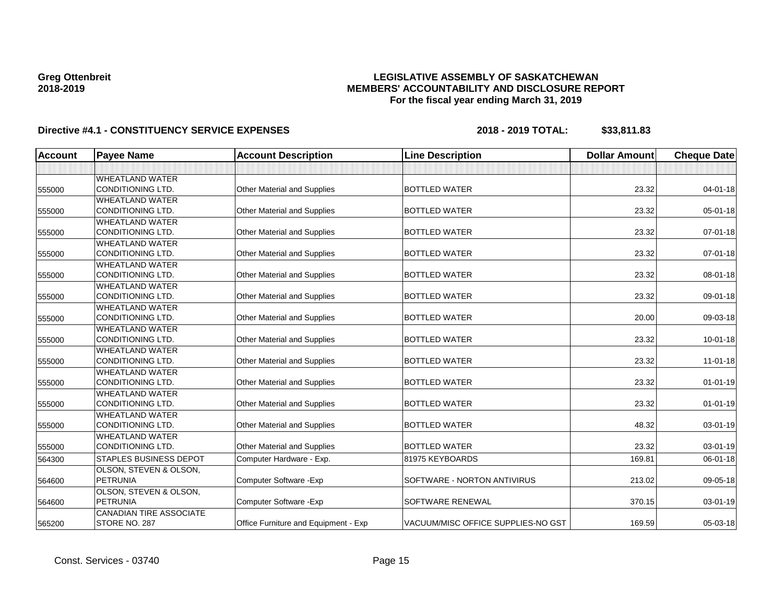## **LEGISLATIVE ASSEMBLY OF SASKATCHEWAN MEMBERS' ACCOUNTABILITY AND DISCLOSURE REPORT For the fiscal year ending March 31, 2019**

| <b>Account</b> | <b>Payee Name</b>                 | <b>Account Description</b>           | <b>Line Description</b>            | <b>Dollar Amount</b> | <b>Cheque Date</b> |
|----------------|-----------------------------------|--------------------------------------|------------------------------------|----------------------|--------------------|
|                |                                   |                                      |                                    |                      |                    |
|                | <b>WHEATLAND WATER</b>            |                                      |                                    |                      |                    |
| 555000         | <b>CONDITIONING LTD.</b>          | Other Material and Supplies          | <b>BOTTLED WATER</b>               | 23.32                | 04-01-18           |
|                | <b>WHEATLAND WATER</b>            |                                      |                                    |                      |                    |
| 555000         | <b>CONDITIONING LTD.</b>          | Other Material and Supplies          | <b>BOTTLED WATER</b>               | 23.32                | 05-01-18           |
|                | <b>WHEATLAND WATER</b>            |                                      |                                    |                      |                    |
| 555000         | <b>CONDITIONING LTD.</b>          | Other Material and Supplies          | <b>BOTTLED WATER</b>               | 23.32                | $07 - 01 - 18$     |
|                | <b>WHEATLAND WATER</b>            |                                      |                                    |                      |                    |
| 555000         | <b>CONDITIONING LTD.</b>          | Other Material and Supplies          | <b>BOTTLED WATER</b>               | 23.32                | $07 - 01 - 18$     |
|                | <b>WHEATLAND WATER</b>            |                                      |                                    |                      |                    |
| 555000         | <b>CONDITIONING LTD.</b>          | Other Material and Supplies          | <b>BOTTLED WATER</b>               | 23.32                | 08-01-18           |
|                | <b>WHEATLAND WATER</b>            |                                      |                                    |                      |                    |
| 555000         | CONDITIONING LTD.                 | Other Material and Supplies          | <b>BOTTLED WATER</b>               | 23.32                | 09-01-18           |
|                | <b>WHEATLAND WATER</b>            |                                      |                                    |                      |                    |
| 555000         | CONDITIONING LTD.                 | Other Material and Supplies          | <b>BOTTLED WATER</b>               | 20.00                | 09-03-18           |
|                | <b>WHEATLAND WATER</b>            |                                      |                                    |                      |                    |
| 555000         | CONDITIONING LTD.                 | Other Material and Supplies          | <b>BOTTLED WATER</b>               | 23.32                | $10 - 01 - 18$     |
|                | <b>WHEATLAND WATER</b>            |                                      |                                    |                      |                    |
| 555000         | CONDITIONING LTD.                 | Other Material and Supplies          | <b>BOTTLED WATER</b>               | 23.32                | $11 - 01 - 18$     |
|                | <b>WHEATLAND WATER</b>            |                                      |                                    |                      |                    |
| 555000         | CONDITIONING LTD.                 | Other Material and Supplies          | <b>BOTTLED WATER</b>               | 23.32                | $01 - 01 - 19$     |
|                | <b>WHEATLAND WATER</b>            |                                      |                                    |                      |                    |
| 555000         | CONDITIONING LTD.                 | Other Material and Supplies          | <b>BOTTLED WATER</b>               | 23.32                | $01 - 01 - 19$     |
|                | <b>WHEATLAND WATER</b>            |                                      |                                    |                      |                    |
| 555000         | <b>CONDITIONING LTD.</b>          | Other Material and Supplies          | <b>BOTTLED WATER</b>               | 48.32                | 03-01-19           |
|                | <b>WHEATLAND WATER</b>            |                                      |                                    |                      |                    |
| 555000         | <b>CONDITIONING LTD.</b>          | Other Material and Supplies          | <b>BOTTLED WATER</b>               | 23.32                | $03 - 01 - 19$     |
| 564300         | STAPLES BUSINESS DEPOT            | Computer Hardware - Exp.             | 81975 KEYBOARDS                    | 169.81               | 06-01-18           |
|                | OLSON, STEVEN & OLSON,            |                                      |                                    |                      |                    |
| 564600         | <b>PETRUNIA</b>                   | Computer Software - Exp              | SOFTWARE - NORTON ANTIVIRUS        | 213.02               | 09-05-18           |
|                | <b>OLSON, STEVEN &amp; OLSON,</b> |                                      |                                    |                      |                    |
| 564600         | <b>PETRUNIA</b>                   | Computer Software - Exp              | <b>SOFTWARE RENEWAL</b>            | 370.15               | 03-01-19           |
|                | <b>CANADIAN TIRE ASSOCIATE</b>    |                                      |                                    |                      |                    |
| 565200         | STORE NO. 287                     | Office Furniture and Equipment - Exp | VACUUM/MISC OFFICE SUPPLIES-NO GST | 169.59               | 05-03-18           |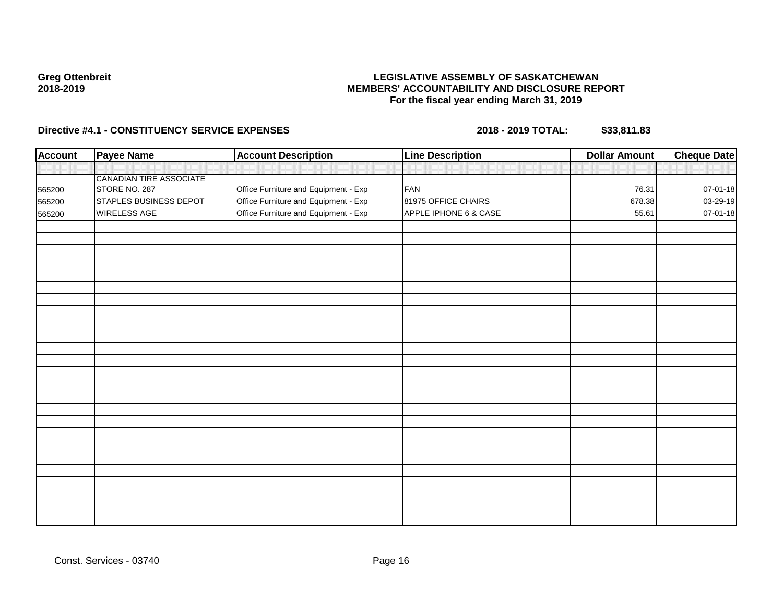## **LEGISLATIVE ASSEMBLY OF SASKATCHEWAN MEMBERS' ACCOUNTABILITY AND DISCLOSURE REPORT For the fiscal year ending March 31, 2019**

| <b>Account</b> | <b>Payee Name</b>                               | <b>Account Description</b>           | <b>Line Description</b> | <b>Dollar Amount</b> | <b>Cheque Date</b> |
|----------------|-------------------------------------------------|--------------------------------------|-------------------------|----------------------|--------------------|
|                |                                                 |                                      |                         |                      |                    |
| 565200         | <b>CANADIAN TIRE ASSOCIATE</b><br>STORE NO. 287 | Office Furniture and Equipment - Exp | FAN                     | 76.31                | 07-01-18           |
| 565200         | <b>STAPLES BUSINESS DEPOT</b>                   | Office Furniture and Equipment - Exp | 81975 OFFICE CHAIRS     | 678.38               | 03-29-19           |
| 565200         | <b>WIRELESS AGE</b>                             | Office Furniture and Equipment - Exp | APPLE IPHONE 6 & CASE   | 55.61                | 07-01-18           |
|                |                                                 |                                      |                         |                      |                    |
|                |                                                 |                                      |                         |                      |                    |
|                |                                                 |                                      |                         |                      |                    |
|                |                                                 |                                      |                         |                      |                    |
|                |                                                 |                                      |                         |                      |                    |
|                |                                                 |                                      |                         |                      |                    |
|                |                                                 |                                      |                         |                      |                    |
|                |                                                 |                                      |                         |                      |                    |
|                |                                                 |                                      |                         |                      |                    |
|                |                                                 |                                      |                         |                      |                    |
|                |                                                 |                                      |                         |                      |                    |
|                |                                                 |                                      |                         |                      |                    |
|                |                                                 |                                      |                         |                      |                    |
|                |                                                 |                                      |                         |                      |                    |
|                |                                                 |                                      |                         |                      |                    |
|                |                                                 |                                      |                         |                      |                    |
|                |                                                 |                                      |                         |                      |                    |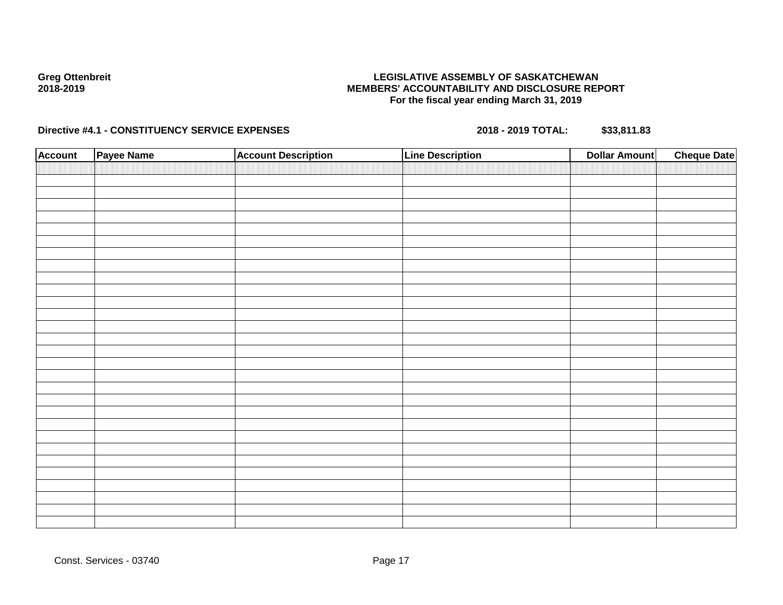## **LEGISLATIVE ASSEMBLY OF SASKATCHEWAN MEMBERS' ACCOUNTABILITY AND DISCLOSURE REPORT For the fiscal year ending March 31, 2019**

| <b>Account</b> | Payee Name | <b>Account Description</b> | <b>Line Description</b> | <b>Dollar Amount</b> | <b>Cheque Date</b> |
|----------------|------------|----------------------------|-------------------------|----------------------|--------------------|
|                |            |                            |                         |                      |                    |
|                |            |                            |                         |                      |                    |
|                |            |                            |                         |                      |                    |
|                |            |                            |                         |                      |                    |
|                |            |                            |                         |                      |                    |
|                |            |                            |                         |                      |                    |
|                |            |                            |                         |                      |                    |
|                |            |                            |                         |                      |                    |
|                |            |                            |                         |                      |                    |
|                |            |                            |                         |                      |                    |
|                |            |                            |                         |                      |                    |
|                |            |                            |                         |                      |                    |
|                |            |                            |                         |                      |                    |
|                |            |                            |                         |                      |                    |
|                |            |                            |                         |                      |                    |
|                |            |                            |                         |                      |                    |
|                |            |                            |                         |                      |                    |
|                |            |                            |                         |                      |                    |
|                |            |                            |                         |                      |                    |
|                |            |                            |                         |                      |                    |
|                |            |                            |                         |                      |                    |
|                |            |                            |                         |                      |                    |
|                |            |                            |                         |                      |                    |
|                |            |                            |                         |                      |                    |
|                |            |                            |                         |                      |                    |
|                |            |                            |                         |                      |                    |
|                |            |                            |                         |                      |                    |
|                |            |                            |                         |                      |                    |
|                |            |                            |                         |                      |                    |
|                |            |                            |                         |                      |                    |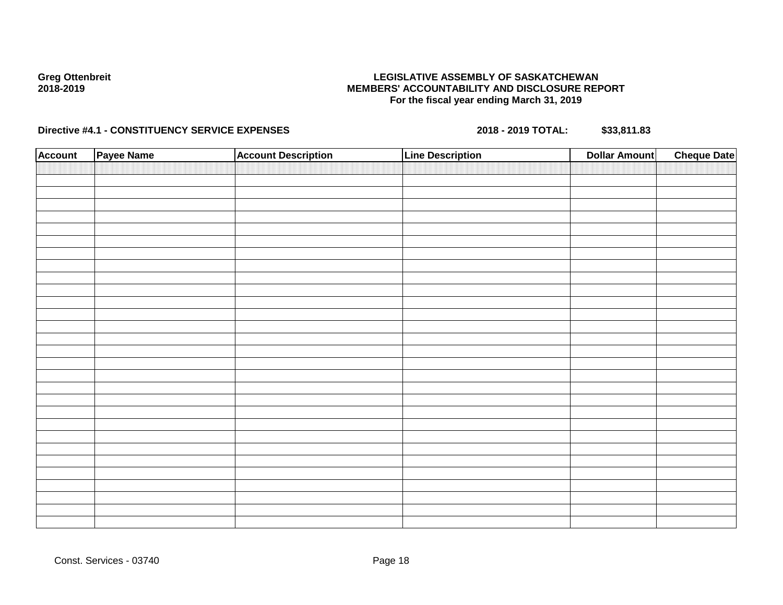## **LEGISLATIVE ASSEMBLY OF SASKATCHEWAN MEMBERS' ACCOUNTABILITY AND DISCLOSURE REPORT For the fiscal year ending March 31, 2019**

| <b>Account</b> | Payee Name | <b>Account Description</b> | <b>Line Description</b> | <b>Dollar Amount</b> | <b>Cheque Date</b> |
|----------------|------------|----------------------------|-------------------------|----------------------|--------------------|
|                |            |                            |                         |                      |                    |
|                |            |                            |                         |                      |                    |
|                |            |                            |                         |                      |                    |
|                |            |                            |                         |                      |                    |
|                |            |                            |                         |                      |                    |
|                |            |                            |                         |                      |                    |
|                |            |                            |                         |                      |                    |
|                |            |                            |                         |                      |                    |
|                |            |                            |                         |                      |                    |
|                |            |                            |                         |                      |                    |
|                |            |                            |                         |                      |                    |
|                |            |                            |                         |                      |                    |
|                |            |                            |                         |                      |                    |
|                |            |                            |                         |                      |                    |
|                |            |                            |                         |                      |                    |
|                |            |                            |                         |                      |                    |
|                |            |                            |                         |                      |                    |
|                |            |                            |                         |                      |                    |
|                |            |                            |                         |                      |                    |
|                |            |                            |                         |                      |                    |
|                |            |                            |                         |                      |                    |
|                |            |                            |                         |                      |                    |
|                |            |                            |                         |                      |                    |
|                |            |                            |                         |                      |                    |
|                |            |                            |                         |                      |                    |
|                |            |                            |                         |                      |                    |
|                |            |                            |                         |                      |                    |
|                |            |                            |                         |                      |                    |
|                |            |                            |                         |                      |                    |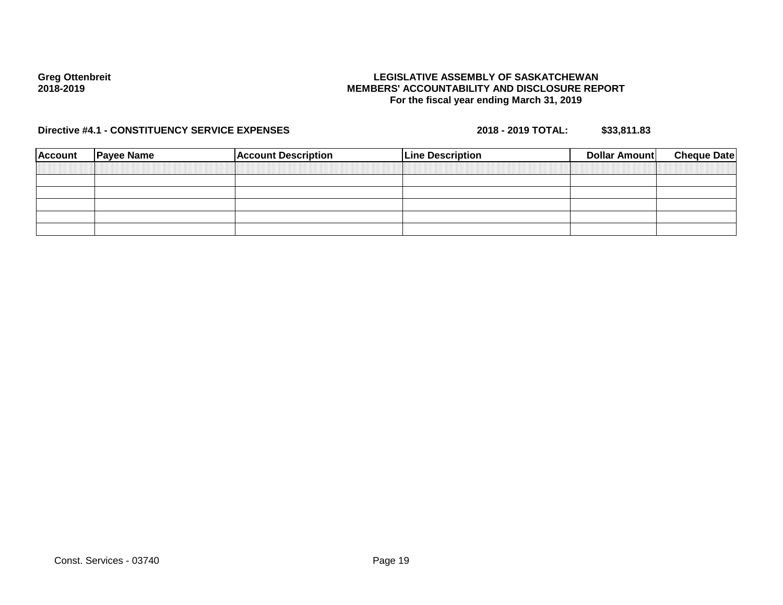## **LEGISLATIVE ASSEMBLY OF SASKATCHEWAN MEMBERS' ACCOUNTABILITY AND DISCLOSURE REPORT For the fiscal year ending March 31, 2019**

| <b>Account</b> | <b>Payee Name</b> | <b>Account Description</b> | <b>Line Description</b> | Dollar Amount | <b>Cheque Date</b> |
|----------------|-------------------|----------------------------|-------------------------|---------------|--------------------|
|                |                   |                            |                         |               |                    |
|                |                   |                            |                         |               |                    |
|                |                   |                            |                         |               |                    |
|                |                   |                            |                         |               |                    |
|                |                   |                            |                         |               |                    |
|                |                   |                            |                         |               |                    |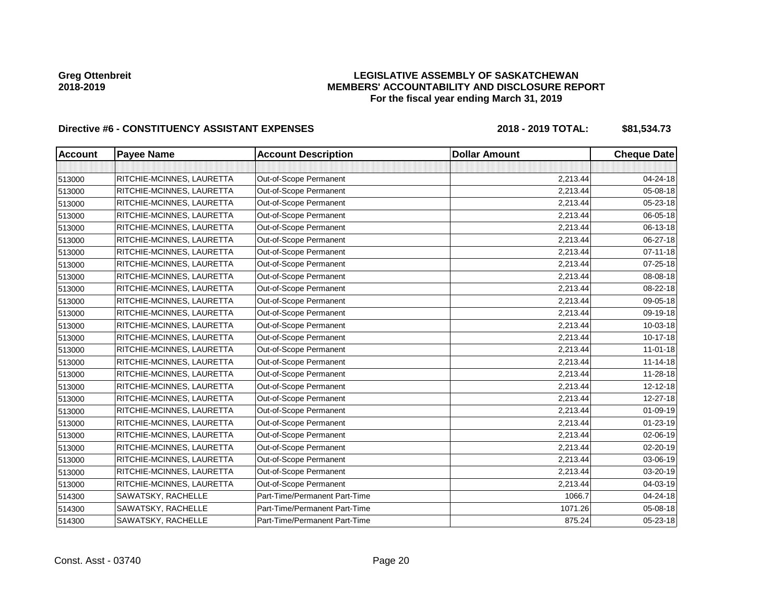## **LEGISLATIVE ASSEMBLY OF SASKATCHEWAN MEMBERS' ACCOUNTABILITY AND DISCLOSURE REPORT For the fiscal year ending March 31, 2019**

| <b>Account</b> | <b>Payee Name</b>         | <b>Account Description</b>    | <b>Dollar Amount</b> | <b>Cheque Date</b> |
|----------------|---------------------------|-------------------------------|----------------------|--------------------|
|                |                           |                               |                      |                    |
| 513000         | RITCHIE-MCINNES, LAURETTA | Out-of-Scope Permanent        | 2,213.44             | 04-24-18           |
| 513000         | RITCHIE-MCINNES, LAURETTA | Out-of-Scope Permanent        | 2,213.44             | 05-08-18           |
| 513000         | RITCHIE-MCINNES, LAURETTA | Out-of-Scope Permanent        | 2,213.44             | 05-23-18           |
| 513000         | RITCHIE-MCINNES, LAURETTA | Out-of-Scope Permanent        | 2,213.44             | 06-05-18           |
| 513000         | RITCHIE-MCINNES, LAURETTA | Out-of-Scope Permanent        | 2,213.44             | 06-13-18           |
| 513000         | RITCHIE-MCINNES, LAURETTA | Out-of-Scope Permanent        | 2,213.44             | 06-27-18           |
| 513000         | RITCHIE-MCINNES, LAURETTA | Out-of-Scope Permanent        | 2,213.44             | $07 - 11 - 18$     |
| 513000         | RITCHIE-MCINNES, LAURETTA | Out-of-Scope Permanent        | 2,213.44             | $07 - 25 - 18$     |
| 513000         | RITCHIE-MCINNES, LAURETTA | Out-of-Scope Permanent        | 2,213.44             | 08-08-18           |
| 513000         | RITCHIE-MCINNES, LAURETTA | Out-of-Scope Permanent        | 2,213.44             | 08-22-18           |
| 513000         | RITCHIE-MCINNES, LAURETTA | Out-of-Scope Permanent        | 2,213.44             | 09-05-18           |
| 513000         | RITCHIE-MCINNES, LAURETTA | Out-of-Scope Permanent        | 2,213.44             | 09-19-18           |
| 513000         | RITCHIE-MCINNES, LAURETTA | Out-of-Scope Permanent        | 2,213.44             | 10-03-18           |
| 513000         | RITCHIE-MCINNES, LAURETTA | Out-of-Scope Permanent        | 2,213.44             | 10-17-18           |
| 513000         | RITCHIE-MCINNES, LAURETTA | Out-of-Scope Permanent        | 2,213.44             | $11 - 01 - 18$     |
| 513000         | RITCHIE-MCINNES, LAURETTA | Out-of-Scope Permanent        | 2,213.44             | $11 - 14 - 18$     |
| 513000         | RITCHIE-MCINNES, LAURETTA | Out-of-Scope Permanent        | 2,213.44             | 11-28-18           |
| 513000         | RITCHIE-MCINNES, LAURETTA | Out-of-Scope Permanent        | 2,213.44             | $12 - 12 - 18$     |
| 513000         | RITCHIE-MCINNES, LAURETTA | Out-of-Scope Permanent        | 2,213.44             | 12-27-18           |
| 513000         | RITCHIE-MCINNES, LAURETTA | Out-of-Scope Permanent        | 2,213.44             | 01-09-19           |
| 513000         | RITCHIE-MCINNES, LAURETTA | Out-of-Scope Permanent        | 2,213.44             | $01 - 23 - 19$     |
| 513000         | RITCHIE-MCINNES, LAURETTA | Out-of-Scope Permanent        | 2,213.44             | 02-06-19           |
| 513000         | RITCHIE-MCINNES, LAURETTA | Out-of-Scope Permanent        | 2,213.44             | 02-20-19           |
| 513000         | RITCHIE-MCINNES, LAURETTA | Out-of-Scope Permanent        | 2,213.44             | 03-06-19           |
| 513000         | RITCHIE-MCINNES, LAURETTA | Out-of-Scope Permanent        | 2,213.44             | 03-20-19           |
| 513000         | RITCHIE-MCINNES, LAURETTA | Out-of-Scope Permanent        | 2,213.44             | 04-03-19           |
| 514300         | SAWATSKY, RACHELLE        | Part-Time/Permanent Part-Time | 1066.7               | 04-24-18           |
| 514300         | SAWATSKY, RACHELLE        | Part-Time/Permanent Part-Time | 1071.26              | 05-08-18           |
| 514300         | SAWATSKY, RACHELLE        | Part-Time/Permanent Part-Time | 875.24               | 05-23-18           |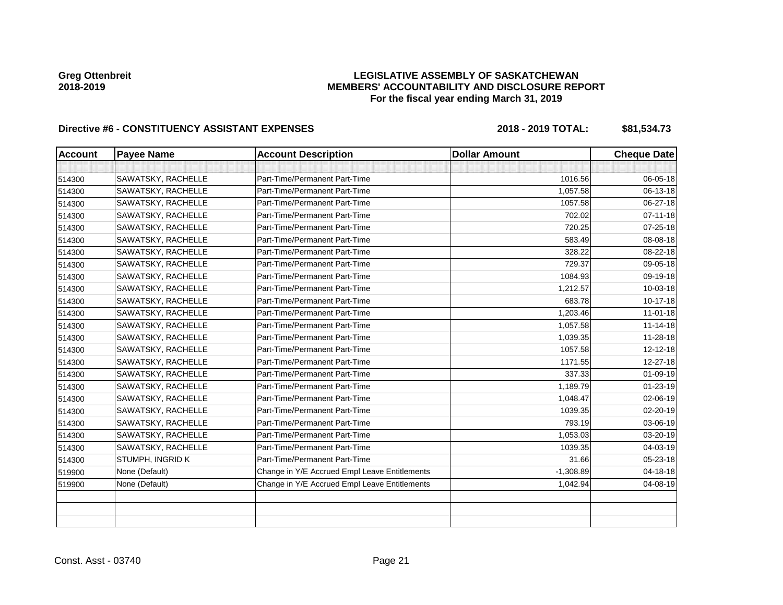## **LEGISLATIVE ASSEMBLY OF SASKATCHEWAN MEMBERS' ACCOUNTABILITY AND DISCLOSURE REPORT For the fiscal year ending March 31, 2019**

| <b>Account</b> | <b>Payee Name</b>  | <b>Account Description</b>                    | <b>Dollar Amount</b> | <b>Cheque Date</b> |
|----------------|--------------------|-----------------------------------------------|----------------------|--------------------|
|                |                    |                                               |                      |                    |
| 514300         | SAWATSKY, RACHELLE | Part-Time/Permanent Part-Time                 | 1016.56              | 06-05-18           |
| 514300         | SAWATSKY, RACHELLE | Part-Time/Permanent Part-Time                 | 1,057.58             | 06-13-18           |
| 514300         | SAWATSKY, RACHELLE | Part-Time/Permanent Part-Time                 | 1057.58              | 06-27-18           |
| 514300         | SAWATSKY, RACHELLE | Part-Time/Permanent Part-Time                 | 702.02               | $07 - 11 - 18$     |
| 514300         | SAWATSKY, RACHELLE | Part-Time/Permanent Part-Time                 | 720.25               | 07-25-18           |
| 514300         | SAWATSKY, RACHELLE | Part-Time/Permanent Part-Time                 | 583.49               | 08-08-18           |
| 514300         | SAWATSKY, RACHELLE | Part-Time/Permanent Part-Time                 | 328.22               | 08-22-18           |
| 514300         | SAWATSKY, RACHELLE | Part-Time/Permanent Part-Time                 | 729.37               | 09-05-18           |
| 514300         | SAWATSKY, RACHELLE | Part-Time/Permanent Part-Time                 | 1084.93              | 09-19-18           |
| 514300         | SAWATSKY, RACHELLE | Part-Time/Permanent Part-Time                 | 1,212.57             | 10-03-18           |
| 514300         | SAWATSKY, RACHELLE | Part-Time/Permanent Part-Time                 | 683.78               | 10-17-18           |
| 514300         | SAWATSKY, RACHELLE | Part-Time/Permanent Part-Time                 | 1,203.46             | $11 - 01 - 18$     |
| 514300         | SAWATSKY, RACHELLE | Part-Time/Permanent Part-Time                 | 1,057.58             | $11 - 14 - 18$     |
| 514300         | SAWATSKY, RACHELLE | Part-Time/Permanent Part-Time                 | 1,039.35             | 11-28-18           |
| 514300         | SAWATSKY, RACHELLE | Part-Time/Permanent Part-Time                 | 1057.58              | $12 - 12 - 18$     |
| 514300         | SAWATSKY, RACHELLE | Part-Time/Permanent Part-Time                 | 1171.55              | 12-27-18           |
| 514300         | SAWATSKY, RACHELLE | Part-Time/Permanent Part-Time                 | 337.33               | $01 - 09 - 19$     |
| 514300         | SAWATSKY, RACHELLE | Part-Time/Permanent Part-Time                 | 1,189.79             | $01 - 23 - 19$     |
| 514300         | SAWATSKY, RACHELLE | Part-Time/Permanent Part-Time                 | 1,048.47             | 02-06-19           |
| 514300         | SAWATSKY, RACHELLE | Part-Time/Permanent Part-Time                 | 1039.35              | 02-20-19           |
| 514300         | SAWATSKY, RACHELLE | Part-Time/Permanent Part-Time                 | 793.19               | 03-06-19           |
| 514300         | SAWATSKY, RACHELLE | Part-Time/Permanent Part-Time                 | 1,053.03             | 03-20-19           |
| 514300         | SAWATSKY, RACHELLE | Part-Time/Permanent Part-Time                 | 1039.35              | 04-03-19           |
| 514300         | STUMPH, INGRID K   | Part-Time/Permanent Part-Time                 | 31.66                | 05-23-18           |
| 519900         | None (Default)     | Change in Y/E Accrued Empl Leave Entitlements | $-1,308.89$          | 04-18-18           |
| 519900         | None (Default)     | Change in Y/E Accrued Empl Leave Entitlements | 1,042.94             | 04-08-19           |
|                |                    |                                               |                      |                    |
|                |                    |                                               |                      |                    |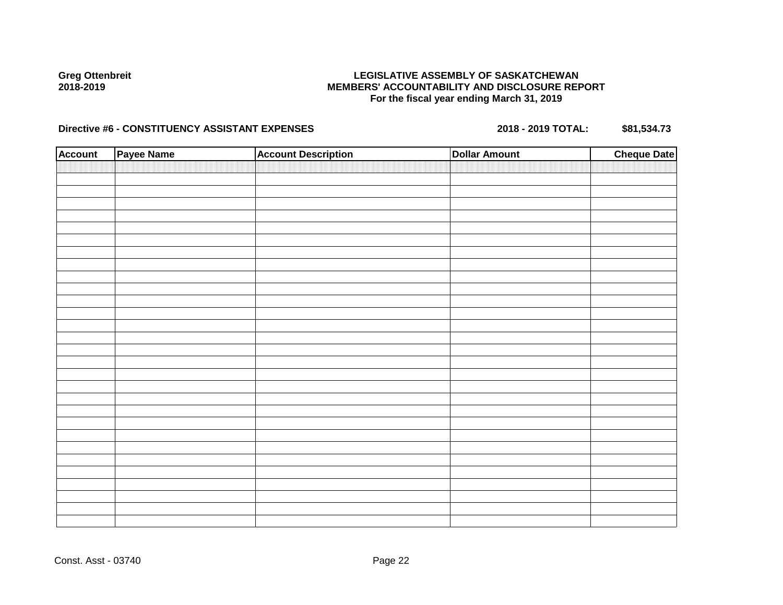## **LEGISLATIVE ASSEMBLY OF SASKATCHEWAN MEMBERS' ACCOUNTABILITY AND DISCLOSURE REPORT For the fiscal year ending March 31, 2019**

| <b>Account</b> | Payee Name | <b>Account Description</b> | <b>Dollar Amount</b> | <b>Cheque Date</b> |
|----------------|------------|----------------------------|----------------------|--------------------|
|                |            |                            |                      |                    |
|                |            |                            |                      |                    |
|                |            |                            |                      |                    |
|                |            |                            |                      |                    |
|                |            |                            |                      |                    |
|                |            |                            |                      |                    |
|                |            |                            |                      |                    |
|                |            |                            |                      |                    |
|                |            |                            |                      |                    |
|                |            |                            |                      |                    |
|                |            |                            |                      |                    |
|                |            |                            |                      |                    |
|                |            |                            |                      |                    |
|                |            |                            |                      |                    |
|                |            |                            |                      |                    |
|                |            |                            |                      |                    |
|                |            |                            |                      |                    |
|                |            |                            |                      |                    |
|                |            |                            |                      |                    |
|                |            |                            |                      |                    |
|                |            |                            |                      |                    |
|                |            |                            |                      |                    |
|                |            |                            |                      |                    |
|                |            |                            |                      |                    |
|                |            |                            |                      |                    |
|                |            |                            |                      |                    |
|                |            |                            |                      |                    |
|                |            |                            |                      |                    |
|                |            |                            |                      |                    |
|                |            |                            |                      |                    |